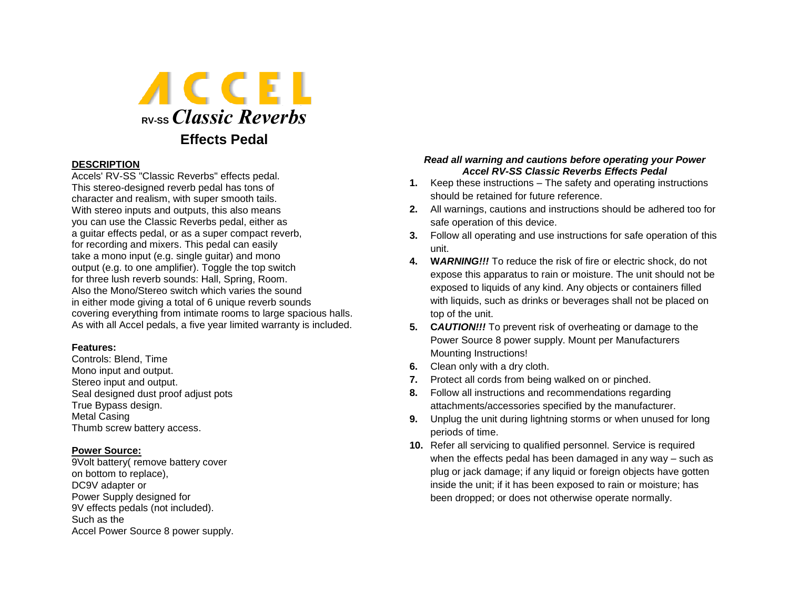

## **DESCRIPTION**

Accels' RV-SS "Classic Reverbs" effects pedal. This stereo-designed reverb pedal has tons of character and realism, with super smooth tails. With stereo inputs and outputs, this also means you can use the Classic Reverbs pedal, either as a guitar effects pedal, or as a super compact reverb, for recording and mixers. This pedal can easily take a mono input (e.g. single guitar) and mono output (e.g. to one amplifier). Toggle the top switch for three lush reverb sounds: Hall, Spring, Room. Also the Mono/Stereo switch which varies the sound in either mode giving a total of 6 unique reverb sounds covering everything from intimate rooms to large spacious halls. As with all Accel pedals, a five year limited warranty is included.

#### **Features:**

Controls: Blend, Time Mono input and output. Stereo input and output. Seal designed dust proof adjust pots True Bypass design. Metal Casing Thumb screw battery access.

## **Power Source:**

9Volt battery( remove battery cover on bottom to replace), DC9V adapter or Power Supply designed for 9V effects pedals (not included). Such as the Accel Power Source 8 power supply.

## *Read all warning and cautions before operating your Power Accel RV-SS Classic Reverbs Effects Pedal*

- **1.** Keep these instructions The safety and operating instructions should be retained for future reference.
- **2.** All warnings, cautions and instructions should be adhered too for safe operation of this device.
- **3.** Follow all operating and use instructions for safe operation of this unit.
- **4. W***ARNING!!!* To reduce the risk of fire or electric shock, do not expose this apparatus to rain or moisture. The unit should not be exposed to liquids of any kind. Any objects or containers filled with liquids, such as drinks or beverages shall not be placed on top of the unit.
- **5. C***AUTION!!!* To prevent risk of overheating or damage to the Power Source 8 power supply. Mount per Manufacturers Mounting Instructions!
- **6.** Clean only with a dry cloth.
- **7.** Protect all cords from being walked on or pinched.
- **8.** Follow all instructions and recommendations regarding attachments/accessories specified by the manufacturer.
- **9.** Unplug the unit during lightning storms or when unused for long periods of time.
- **10.** Refer all servicing to qualified personnel. Service is required when the effects pedal has been damaged in any way – such as plug or jack damage; if any liquid or foreign objects have gotten inside the unit; if it has been exposed to rain or moisture; has been dropped; or does not otherwise operate normally.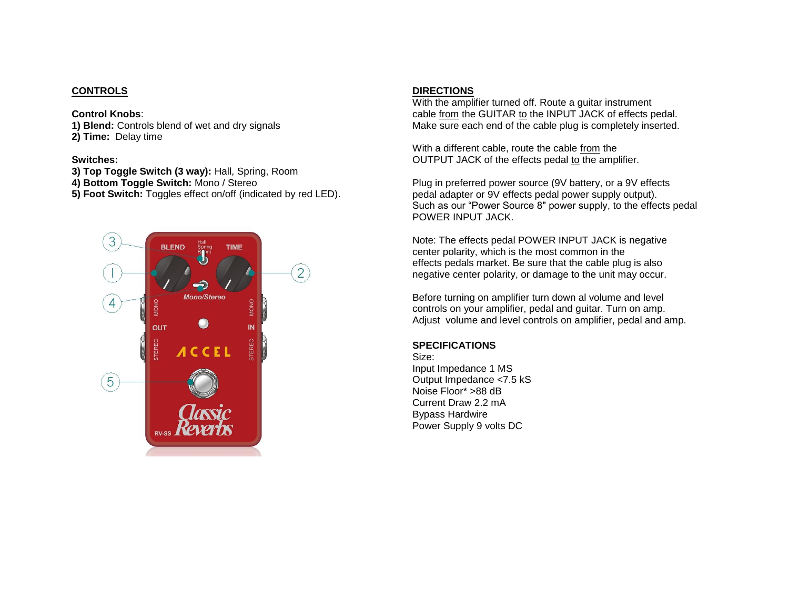# **CONTROLS**

## **Control Knobs**:

**1) Blend:** Controls blend of wet and dry signals

**2) Time:** Delay time

# **Switches:**

- **3) Top Toggle Switch (3 way):** Hall, Spring, Room
- **4) Bottom Toggle Switch:** Mono / Stereo
- **5) Foot Switch:** Toggles effect on/off (indicated by red LED).



# **DIRECTIONS**

With the amplifier turned off. Route a guitar instrument cable from the GUITAR to the INPUT JACK of effects pedal. Make sure each end of the cable plug is completely inserted.

With a different cable, route the cable from the OUTPUT JACK of the effects pedal to the amplifier.

Plug in preferred power source (9V battery, or a 9V effects pedal adapter or 9V effects pedal power supply output). Such as our "Power Source 8" power supply, to the effects pedal POWER INPUT JACK.

Note: The effects pedal POWER INPUT JACK is negative center polarity, which is the most common in the effects pedals market. Be sure that the cable plug is also negative center polarity, or damage to the unit may occur.

Before turning on amplifier turn down al volume and level controls on your amplifier, pedal and guitar. Turn on amp. Adjust volume and level controls on amplifier, pedal and amp.

# **SPECIFICATIONS**

Size: Input Impedance 1 MS Output Impedance <7.5 kS Noise Floor\* >88 dB Current Draw 2.2 mA Bypass Hardwire Power Supply 9 volts DC